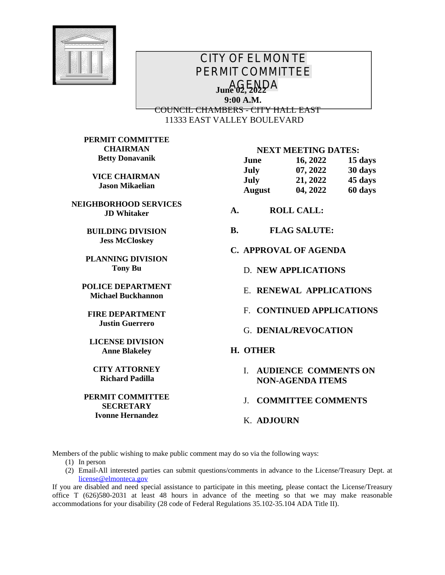

## *CITY OF EL MONTE PERMIT COMMITTEE AGENDA* **June 02, 2022 9:00 A.M.** COUNCIL CHAMBERS - CITY HALL EAST 11333 EAST VALLEY BOULEVARD

**PERMIT COMMITTEE CHAIRMAN Betty Donavanik**

> **VICE CHAIRMAN Jason Mikaelian**

**NEIGHBORHOOD SERVICES JD Whitaker**

> **BUILDING DIVISION Jess McCloskey**

**PLANNING DIVISION Tony Bu**

**POLICE DEPARTMENT Michael Buckhannon**

**FIRE DEPARTMENT Justin Guerrero**

**LICENSE DIVISION Anne Blakeley**

**CITY ATTORNEY Richard Padilla**

**PERMIT COMMITTEE SECRETARY Ivonne Hernandez**

## **NEXT MEETING DATES:**

| June          | 16, 2022 | 15 days |
|---------------|----------|---------|
| July          | 07, 2022 | 30 days |
| July          | 21, 2022 | 45 days |
| <b>August</b> | 04, 2022 | 60 days |

- **A. ROLL CALL:**
- **B. FLAG SALUTE:**
- **C. APPROVAL OF AGENDA**
	- D. **NEW APPLICATIONS**
	- E. **RENEWAL APPLICATIONS**
	- F. **CONTINUED APPLICATIONS**
	- G. **DENIAL/REVOCATION**

## **H. OTHER**

I. **AUDIENCE COMMENTS ON NON-AGENDA ITEMS**

J. **COMMITTEE COMMENTS**

K. **ADJOURN**

Members of the public wishing to make public comment may do so via the following ways:

- (1) In person
- (2) Email-All interested parties can submit questions/comments in advance to the License/Treasury Dept. at [license@elmonteca.gov](mailto:license@elmonteca.gov)

If you are disabled and need special assistance to participate in this meeting, please contact the License/Treasury office T (626)580-2031 at least 48 hours in advance of the meeting so that we may make reasonable accommodations for your disability (28 code of Federal Regulations 35.102-35.104 ADA Title II).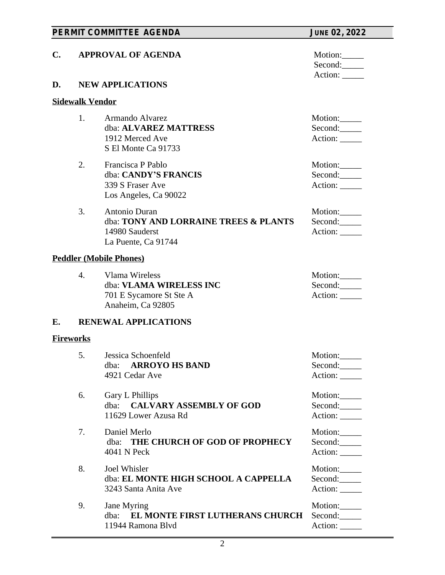|    |                                                      | PERMIT COMMITTEE AGENDA                                                                         | <b>JUNE 02, 2022</b>                |  |  |
|----|------------------------------------------------------|-------------------------------------------------------------------------------------------------|-------------------------------------|--|--|
| C. | <b>APPROVAL OF AGENDA</b><br><b>NEW APPLICATIONS</b> |                                                                                                 | Motion:<br>Second:                  |  |  |
| D. |                                                      |                                                                                                 | Action:                             |  |  |
|    | <b>Sidewalk Vendor</b>                               |                                                                                                 |                                     |  |  |
|    | 1.                                                   | Armando Alvarez<br>dba: ALVAREZ MATTRESS<br>1912 Merced Ave<br>S El Monte Ca 91733              | Motion:<br>Second:<br>Action:       |  |  |
|    | 2.                                                   | Francisca P Pablo<br>dba: CANDY'S FRANCIS<br>339 S Fraser Ave<br>Los Angeles, Ca 90022          | Motion:<br>Second:<br>Action:       |  |  |
|    | 3.                                                   | Antonio Duran<br>dba: TONY AND LORRAINE TREES & PLANTS<br>14980 Sauderst<br>La Puente, Ca 91744 | Motion:<br>Second:<br>Action: _____ |  |  |
|    |                                                      | <b>Peddler (Mobile Phones)</b>                                                                  |                                     |  |  |
|    | $\overline{4}$ .                                     | Vlama Wireless<br>dba: VLAMA WIRELESS INC<br>701 E Sycamore St Ste A<br>Anaheim, Ca 92805       | Motion:<br>Second:<br>Action: _____ |  |  |
| E. |                                                      | <b>RENEWAL APPLICATIONS</b>                                                                     |                                     |  |  |
|    | <b>Fireworks</b>                                     |                                                                                                 |                                     |  |  |
|    | 5.                                                   | Jessica Schoenfeld<br><b>ARROYO HS BAND</b><br>dba:<br>4921 Cedar Ave                           | Motion:<br>Second:<br>Action:       |  |  |
|    | 6.                                                   | Gary L Phillips<br><b>CALVARY ASSEMBLY OF GOD</b><br>dba:<br>11629 Lower Azusa Rd               | Motion:<br>Second:<br>Action: _____ |  |  |
|    | 7.                                                   | Daniel Merlo<br>THE CHURCH OF GOD OF PROPHECY<br>dba:<br>4041 N Peck                            | Motion:<br>Second:<br>Action: _____ |  |  |
|    | 8.                                                   | Joel Whisler<br>dba: EL MONTE HIGH SCHOOL A CAPPELLA<br>3243 Santa Anita Ave                    | Motion:<br>Second:<br>Action:       |  |  |
|    | 9.                                                   | Jane Myring<br>dba: EL MONTE FIRST LUTHERANS CHURCH<br>11944 Ramona Blvd                        | Motion:<br>Second:<br>Action:       |  |  |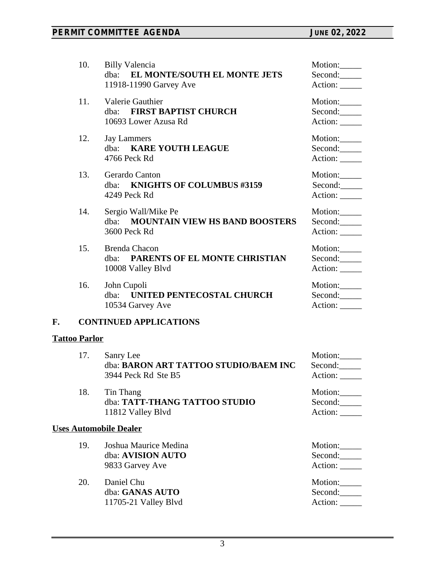|    | 10.                  | <b>Billy Valencia</b>                         | Motion:        |
|----|----------------------|-----------------------------------------------|----------------|
|    |                      | dba: EL MONTE/SOUTH EL MONTE JETS             | Second:        |
|    |                      | 11918-11990 Garvey Ave                        | Action: ______ |
|    | 11.                  | Valerie Gauthier                              | Motion:        |
|    |                      | dba: FIRST BAPTIST CHURCH                     | Second:        |
|    |                      | 10693 Lower Azusa Rd                          | Action: _____  |
|    | 12.                  | <b>Jay Lammers</b>                            | Motion:        |
|    |                      | dba: KARE YOUTH LEAGUE                        | Second:        |
|    |                      | 4766 Peck Rd                                  | Action:        |
|    | 13.                  | Gerardo Canton                                | Motion:        |
|    |                      | dba: KNIGHTS OF COLUMBUS #3159                | Second:        |
|    |                      | 4249 Peck Rd                                  | Action:        |
|    | 14.                  | Sergio Wall/Mike Pe                           | Motion:        |
|    |                      | <b>MOUNTAIN VIEW HS BAND BOOSTERS</b><br>dba: | Second:        |
|    |                      | 3600 Peck Rd                                  | Action:        |
|    | 15.                  | <b>Brenda Chacon</b>                          | Motion:        |
|    |                      | dba: PARENTS OF EL MONTE CHRISTIAN            | Second:        |
|    |                      | 10008 Valley Blvd                             | Action: _____  |
|    | 16.                  | John Cupoli                                   | Motion:        |
|    |                      | dba: UNITED PENTECOSTAL CHURCH                | Second:        |
|    |                      | 10534 Garvey Ave                              | Action:        |
| F. |                      | <b>CONTINUED APPLICATIONS</b>                 |                |
|    | <b>Tattoo Parlor</b> |                                               |                |
|    | 17.                  | Sanry Lee                                     | Motion:        |
|    |                      | dba: BARON ART TATTOO STUDIO/BAEM INC         | Second:        |
|    |                      | 3944 Peck Rd Ste B5                           | Action:        |
|    | 18.                  | Tin Thang                                     | Motion:        |
|    |                      | dba: TATT-THANG TATTOO STUDIO                 | Second:        |
|    |                      | 11812 Valley Blvd                             | Action: _____  |
|    |                      | <b>Uses Automobile Dealer</b>                 |                |
|    | 19.                  | Joshua Maurice Medina                         | Motion:        |
|    |                      | dba: AVISION AUTO                             | Second:        |
|    |                      | 9833 Garvey Ave                               | Action: _____  |
|    | 20.                  | Daniel Chu                                    | Motion:        |
|    |                      | dba: GANAS AUTO                               | Second:        |
|    |                      | 11705-21 Valley Blvd                          | Action:        |